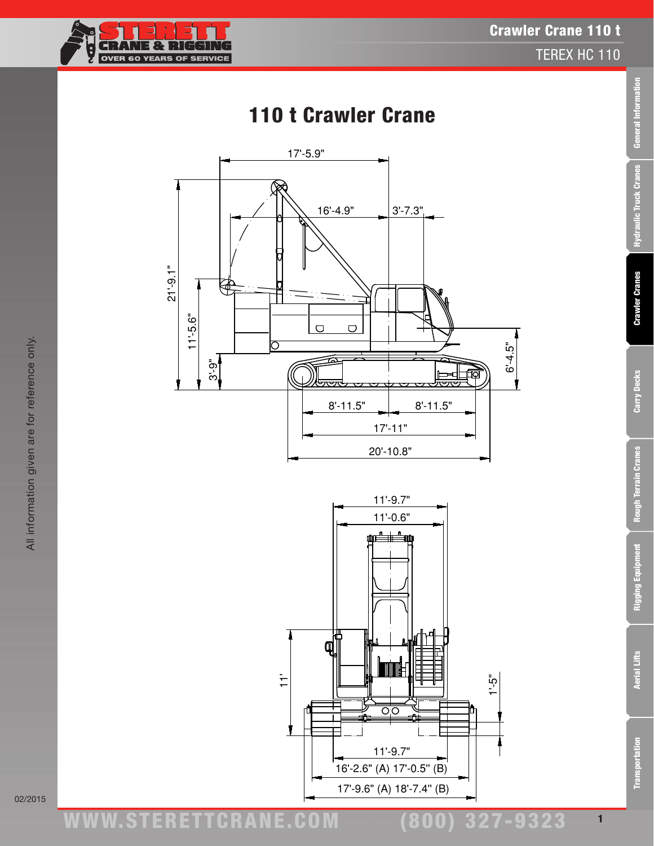ww.TDKv.com www.STERETTCRAnE.Com

(800) 327-9323

 $11'-9.7"$  $11'-0.6"$ œÊ‡ 当神 Π  $\ddot{ }$  $1 - 5$ " ਨੌ਼ਨ  $11'-9.7"$ 16'-2.6" (A) 17'-0.5" (B) 17'-9.6" (A) 18'-7.4" (B)



 $17 - 5.9"$ 

110 t Crawler Crane





All information given are for reference only.

All information given are for reference only.

02/2015

Crawler Crane 110 t

 $6 - 4.5$ 

TEREX HC 110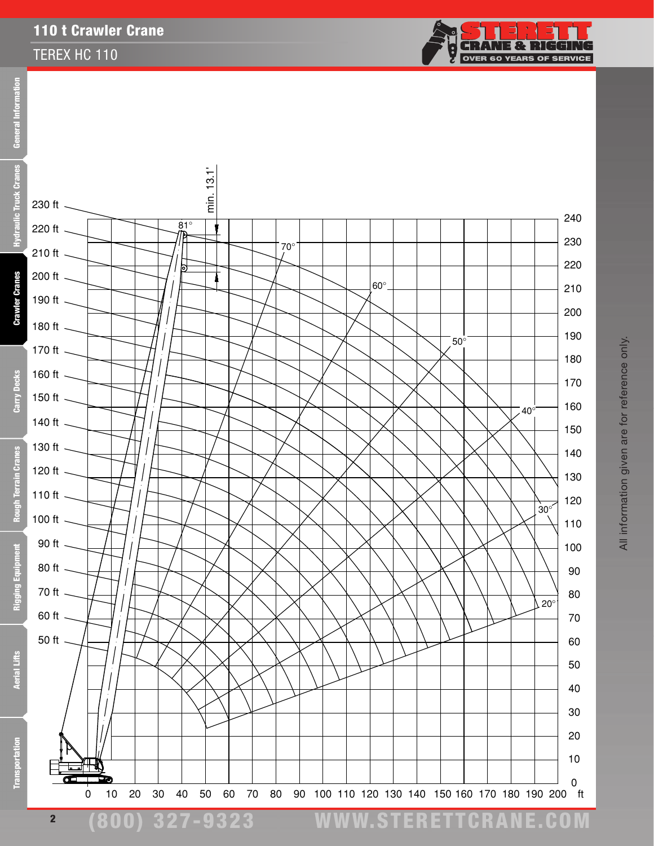#### TEREX HC 110



All information given are for reference only.

All information given are for reference only.

eral Information Feb Ē Truck



**Transportation** 

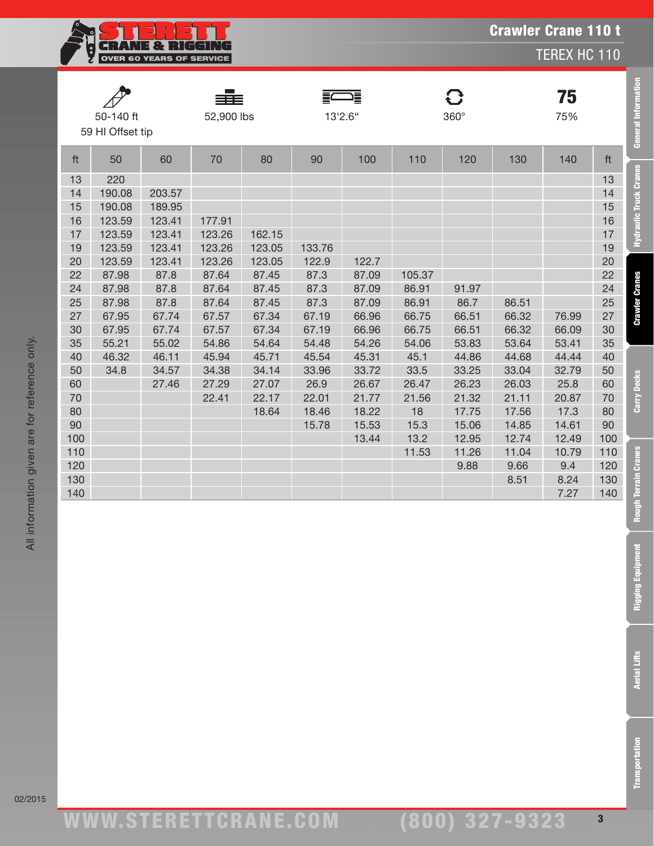| 1382 B.L<br><b>OVER 60 YEARS OF SERVICE</b> |  |
|---------------------------------------------|--|
|                                             |  |

TEREX HC 110

**General Information** 

**Hydraulic Truck Cranes** 

**Crawler Cranes** 

Carry Decks

|     | 50-140 ft<br>59 HI Offset tip |        | ▆▇▆<br>52,900 lbs |        | 13'2.6" | 這     |        | C<br>$360^\circ$ |       | 75<br>75% |     |
|-----|-------------------------------|--------|-------------------|--------|---------|-------|--------|------------------|-------|-----------|-----|
| ft  | 50                            | 60     | 70                | 80     | 90      | 100   | 110    | 120              | 130   | 140       | ft  |
| 13  | 220                           |        |                   |        |         |       |        |                  |       |           | 13  |
| 14  | 190.08                        | 203.57 |                   |        |         |       |        |                  |       |           | 14  |
| 15  | 190.08                        | 189.95 |                   |        |         |       |        |                  |       |           | 15  |
| 16  | 123.59                        | 123.41 | 177.91            |        |         |       |        |                  |       |           | 16  |
| 17  | 123.59                        | 123.41 | 123.26            | 162.15 |         |       |        |                  |       |           | 17  |
| 19  | 123.59                        | 123.41 | 123.26            | 123.05 | 133.76  |       |        |                  |       |           | 19  |
| 20  | 123.59                        | 123.41 | 123.26            | 123.05 | 122.9   | 122.7 |        |                  |       |           | 20  |
| 22  | 87.98                         | 87.8   | 87.64             | 87.45  | 87.3    | 87.09 | 105.37 |                  |       |           | 22  |
| 24  | 87.98                         | 87.8   | 87.64             | 87.45  | 87.3    | 87.09 | 86.91  | 91.97            |       |           | 24  |
| 25  | 87.98                         | 87.8   | 87.64             | 87.45  | 87.3    | 87.09 | 86.91  | 86.7             | 86.51 |           | 25  |
| 27  | 67.95                         | 67.74  | 67.57             | 67.34  | 67.19   | 66.96 | 66.75  | 66.51            | 66.32 | 76.99     | 27  |
| 30  | 67.95                         | 67.74  | 67.57             | 67.34  | 67.19   | 66.96 | 66.75  | 66.51            | 66.32 | 66.09     | 30  |
| 35  | 55.21                         | 55.02  | 54.86             | 54.64  | 54.48   | 54.26 | 54.06  | 53.83            | 53.64 | 53.41     | 35  |
| 40  | 46.32                         | 46.11  | 45.94             | 45.71  | 45.54   | 45.31 | 45.1   | 44.86            | 44.68 | 44.44     | 40  |
| 50  | 34.8                          | 34.57  | 34.38             | 34.14  | 33.96   | 33.72 | 33.5   | 33.25            | 33.04 | 32.79     | 50  |
| 60  |                               | 27.46  | 27.29             | 27.07  | 26.9    | 26.67 | 26.47  | 26.23            | 26.03 | 25.8      | 60  |
| 70  |                               |        | 22.41             | 22.17  | 22.01   | 21.77 | 21.56  | 21.32            | 21.11 | 20.87     | 70  |
| 80  |                               |        |                   | 18.64  | 18.46   | 18.22 | 18     | 17.75            | 17.56 | 17.3      | 80  |
| 90  |                               |        |                   |        | 15.78   | 15.53 | 15.3   | 15.06            | 14.85 | 14.61     | 90  |
| 100 |                               |        |                   |        |         | 13.44 | 13.2   | 12.95            | 12.74 | 12.49     | 100 |
| 110 |                               |        |                   |        |         |       | 11.53  | 11.26            | 11.04 | 10.79     | 110 |
| 120 |                               |        |                   |        |         |       |        | 9.88             | 9.66  | 9.4       | 120 |
| 130 |                               |        |                   |        |         |       |        |                  | 8.51  | 8.24      | 130 |
| 140 |                               |        |                   |        |         |       |        |                  |       | 7.27      | 140 |

02/2015

ww.TDKv.com www.STERETTCRAnE.Com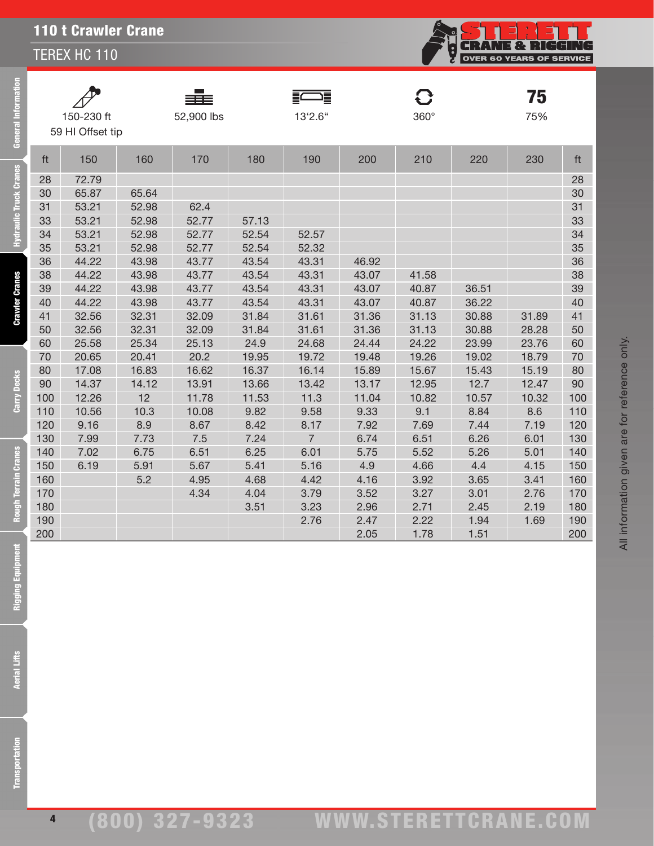TEREX HC 110



75

|                  | __         |         |             | . . |
|------------------|------------|---------|-------------|-----|
| 150-230 ft       | 52,900 lbs | 13'2.6" | $360^\circ$ | 75% |
| 59 HI Offset tip |            |         |             |     |

 $\mathcal{P}$ 

36 -

**FWARE** 

ft 150 160 170 180 190 200 210 220 230 ft 28 72.79 28 65.87 65.64 30 53.21 52.98 62.4 31 53.21 52.98 52.77 57.13 33 53.21 52.98 52.77 52.54 52.57 34 53.21 52.98 52.77 52.54 52.32 35 44.22 43.98 43.77 43.54 43.31 46.92 36 44.22 43.98 43.77 43.54 43.31 43.07 41.58 38 44.22 43.98 43.77 43.54 43.31 43.07 40.87 36.51 39 44.22 43.98 43.77 43.54 43.31 43.07 40.87 36.22 40 32.56 32.31 32.09 31.84 31.61 31.36 31.13 30.88 31.89 41 32.56 32.31 32.09 31.84 31.61 31.36 31.13 30.88 28.28 50 25.58 25.34 25.13 24.9 24.68 24.44 24.22 23.99 23.76 60 20.65 20.41 20.2 19.95 19.72 19.48 19.26 19.02 18.79 70 17.08 16.83 16.62 16.37 16.14 15.89 15.67 15.43 15.19 80 14.37 14.12 13.91 13.66 13.42 13.17 12.95 12.7 12.47 90 12.26 12 11.78 11.53 11.3 11.04 10.82 10.57 10.32 100 10.56 10.3 10.08 9.82 9.58 9.33 9.1 8.84 8.6 110 9.16 8.9 8.67 8.42 8.17 7.92 7.69 7.44 7.19 120 7.99 7.73 7.5 7.24 7 6.74 6.51 6.26 6.01 130 7.02 6.75 6.51 6.25 6.01 5.75 5.52 5.26 5.01 140 6.19 5.91 5.67 5.41 5.16 4.9 4.66 4.4 4.15 150 5.2 4.95 4.68 4.42 4.16 3.92 3.65 3.41 160 4.34 4.04 3.79 3.52 3.27 3.01 2.76 170 3.51 3.23 2.96 2.71 2.45 2.19 180 2.76 2.47 2.22 1.94 1.69 190 2.05 1.78 1.51 200

All information given are for reference only.

All information given are for reference only.

General Information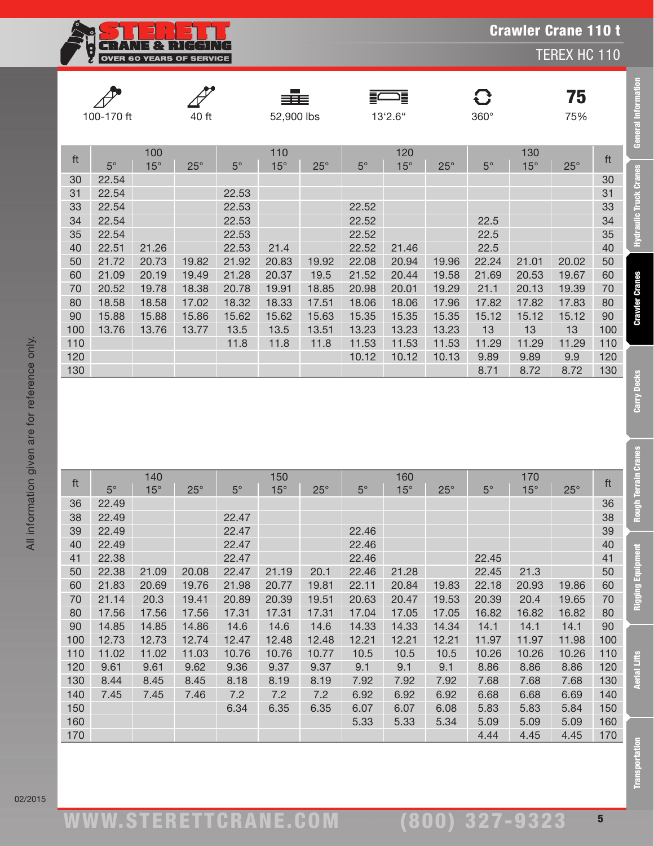Crawler Crane 110 t

TEREX HC 110

**General Information** 

**Hydraulic Truck Cranes** 

**Crawler Cranes** 

Carry Decks

**Rough Terrain Cranes** 

**Rigging Equipment** 

|     |            |            |            |           | ≡≡≡        |            | Ξ           | 這          |              | $\mathbf G$ |            | 75           |     |
|-----|------------|------------|------------|-----------|------------|------------|-------------|------------|--------------|-------------|------------|--------------|-----|
|     | 100-170 ft |            | 40 ft      |           | 52,900 lbs |            |             | 13'2.6"    |              | $360^\circ$ |            | 75%          |     |
|     |            |            |            |           |            |            |             |            |              |             |            |              |     |
|     |            | 100        |            |           | 110        |            |             | 120        |              |             | 130        |              |     |
| ft  | $5^\circ$  | $15^\circ$ | $25^\circ$ | $5^\circ$ | $15^\circ$ | $25^\circ$ | $5^{\circ}$ | $15^\circ$ | $25^{\circ}$ | $5^{\circ}$ | $15^\circ$ | $25^{\circ}$ | ft  |
| 30  | 22.54      |            |            |           |            |            |             |            |              |             |            |              | 30  |
| 31  | 22.54      |            |            | 22.53     |            |            |             |            |              |             |            |              | 31  |
| 33  | 22.54      |            |            | 22.53     |            |            | 22.52       |            |              |             |            |              | 33  |
| 34  | 22.54      |            |            | 22.53     |            |            | 22.52       |            |              | 22.5        |            |              | 34  |
| 35  | 22.54      |            |            | 22.53     |            |            | 22.52       |            |              | 22.5        |            |              | 35  |
| 40  | 22.51      | 21.26      |            | 22.53     | 21.4       |            | 22.52       | 21.46      |              | 22.5        |            |              | 40  |
| 50  | 21.72      | 20.73      | 19.82      | 21.92     | 20.83      | 19.92      | 22.08       | 20.94      | 19.96        | 22.24       | 21.01      | 20.02        | 50  |
| 60  | 21.09      | 20.19      | 19.49      | 21.28     | 20.37      | 19.5       | 21.52       | 20.44      | 19.58        | 21.69       | 20.53      | 19.67        | 60  |
| 70  | 20.52      | 19.78      | 18.38      | 20.78     | 19.91      | 18.85      | 20.98       | 20.01      | 19.29        | 21.1        | 20.13      | 19.39        | 70  |
| 80  | 18.58      | 18.58      | 17.02      | 18.32     | 18.33      | 17.51      | 18.06       | 18.06      | 17.96        | 17.82       | 17.82      | 17.83        | 80  |
| 90  | 15.88      | 15.88      | 15.86      | 15.62     | 15.62      | 15.63      | 15.35       | 15.35      | 15.35        | 15.12       | 15.12      | 15.12        | 90  |
| 100 | 13.76      | 13.76      | 13.77      | 13.5      | 13.5       | 13.51      | 13.23       | 13.23      | 13.23        | 13          | 13         | 13           | 100 |
| 110 |            |            |            | 11.8      | 11.8       | 11.8       | 11.53       | 11.53      | 11.53        | 11.29       | 11.29      | 11.29        | 110 |
| 120 |            |            |            |           |            |            | 10.12       | 10.12      | 10.13        | 9.89        | 9.89       | 9.9          | 120 |
| 130 |            |            |            |           |            |            |             |            |              | 8.71        | 8.72       | 8.72         | 130 |

|          | כ<br>כ |
|----------|--------|
|          |        |
|          |        |
|          |        |
|          |        |
|          |        |
|          |        |
|          |        |
| tor      |        |
|          |        |
|          |        |
|          |        |
| are      |        |
|          |        |
|          |        |
|          |        |
|          |        |
|          |        |
| giver    |        |
|          |        |
|          |        |
|          |        |
|          |        |
|          |        |
|          |        |
|          |        |
|          |        |
|          |        |
|          |        |
|          |        |
|          |        |
|          |        |
|          |        |
| $\equiv$ |        |
|          |        |
|          |        |

|     |             | 140        |            |           | 150          |            |             | 160        |            |             | 170        |            |     |
|-----|-------------|------------|------------|-----------|--------------|------------|-------------|------------|------------|-------------|------------|------------|-----|
| ft  | $5^{\circ}$ | $15^\circ$ | $25^\circ$ | $5^\circ$ | $15^{\circ}$ | $25^\circ$ | $5^{\circ}$ | $15^\circ$ | $25^\circ$ | $5^{\circ}$ | $15^\circ$ | $25^\circ$ | ft  |
| 36  | 22.49       |            |            |           |              |            |             |            |            |             |            |            | 36  |
| 38  | 22.49       |            |            | 22.47     |              |            |             |            |            |             |            |            | 38  |
| 39  | 22.49       |            |            | 22.47     |              |            | 22.46       |            |            |             |            |            | 39  |
| 40  | 22.49       |            |            | 22.47     |              |            | 22.46       |            |            |             |            |            | 40  |
| 41  | 22.38       |            |            | 22.47     |              |            | 22.46       |            |            | 22.45       |            |            | 41  |
| 50  | 22.38       | 21.09      | 20.08      | 22.47     | 21.19        | 20.1       | 22.46       | 21.28      |            | 22.45       | 21.3       |            | 50  |
| 60  | 21.83       | 20.69      | 19.76      | 21.98     | 20.77        | 19.81      | 22.11       | 20.84      | 19.83      | 22.18       | 20.93      | 19.86      | 60  |
| 70  | 21.14       | 20.3       | 19.41      | 20.89     | 20.39        | 19.51      | 20.63       | 20.47      | 19.53      | 20.39       | 20.4       | 19.65      | 70  |
| 80  | 17.56       | 17.56      | 17.56      | 17.31     | 17.31        | 17.31      | 17.04       | 17.05      | 17.05      | 16.82       | 16.82      | 16.82      | 80  |
| 90  | 14.85       | 14.85      | 14.86      | 14.6      | 14.6         | 14.6       | 14.33       | 14.33      | 14.34      | 14.1        | 14.1       | 14.1       | 90  |
| 100 | 12.73       | 12.73      | 12.74      | 12.47     | 12.48        | 12.48      | 12.21       | 12.21      | 12.21      | 11.97       | 11.97      | 11.98      | 100 |
| 110 | 11.02       | 11.02      | 11.03      | 10.76     | 10.76        | 10.77      | 10.5        | 10.5       | 10.5       | 10.26       | 10.26      | 10.26      | 110 |
| 120 | 9.61        | 9.61       | 9.62       | 9.36      | 9.37         | 9.37       | 9.1         | 9.1        | 9.1        | 8.86        | 8.86       | 8.86       | 120 |
| 130 | 8.44        | 8.45       | 8.45       | 8.18      | 8.19         | 8.19       | 7.92        | 7.92       | 7.92       | 7.68        | 7.68       | 7.68       | 130 |
| 140 | 7.45        | 7.45       | 7.46       | 7.2       | 7.2          | 7.2        | 6.92        | 6.92       | 6.92       | 6.68        | 6.68       | 6.69       | 140 |
| 150 |             |            |            | 6.34      | 6.35         | 6.35       | 6.07        | 6.07       | 6.08       | 5.83        | 5.83       | 5.84       | 150 |
| 160 |             |            |            |           |              |            | 5.33        | 5.33       | 5.34       | 5.09        | 5.09       | 5.09       | 160 |
| 170 |             |            |            |           |              |            |             |            |            | 4.44        | 4.45       | 4.45       | 170 |
|     |             |            |            |           |              |            |             |            |            |             |            |            |     |

**Aerial Lifts** 

**CRANE & RIGGING**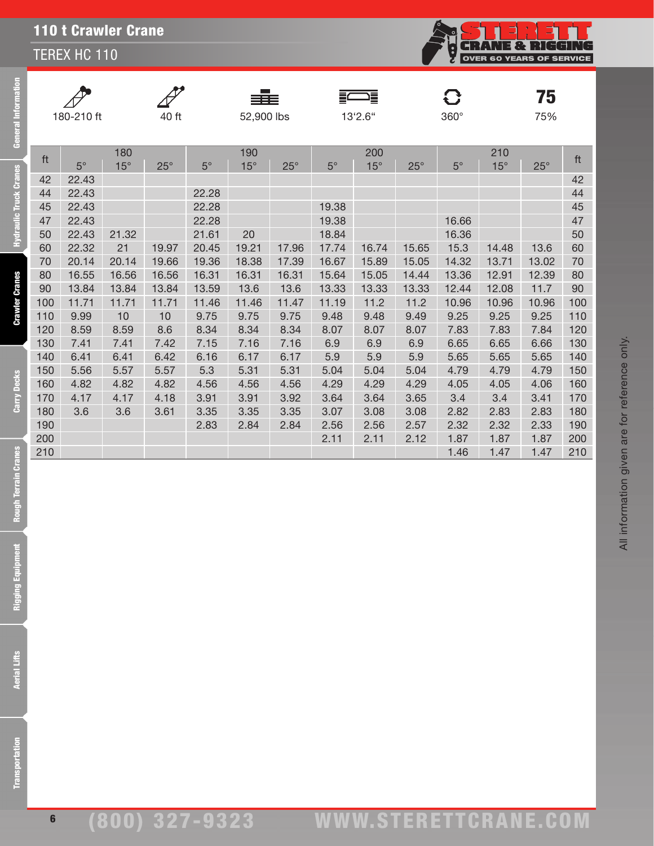TEREX HC 110



 $75$ <sub>75%</sub>

| $\mathscr{P}$ |
|---------------|
| 180-21        |

eral Information

**Iraulic Truck Cranes** 

**Crawler Cranes** 

Carry Decks

 $\blacksquare$ 



 $\overrightarrow{A}$ 

sãs

F

 $\overline{C}$ 

180-210 ft 40 ft 52,900 lbs 13'2.6'' 360° 75%

|     |           | 180        |              |             | 190        |            |             | 200        |              |           | 210        |              |     |
|-----|-----------|------------|--------------|-------------|------------|------------|-------------|------------|--------------|-----------|------------|--------------|-----|
| ft  | $5^\circ$ | $15^\circ$ | $25^{\circ}$ | $5^{\circ}$ | $15^\circ$ | $25^\circ$ | $5^{\circ}$ | $15^\circ$ | $25^{\circ}$ | $5^\circ$ | $15^\circ$ | $25^{\circ}$ | ft  |
| 42  | 22.43     |            |              |             |            |            |             |            |              |           |            |              | 42  |
| 44  | 22.43     |            |              | 22.28       |            |            |             |            |              |           |            |              | 44  |
| 45  | 22.43     |            |              | 22.28       |            |            | 19.38       |            |              |           |            |              | 45  |
| 47  | 22.43     |            |              | 22.28       |            |            | 19.38       |            |              | 16.66     |            |              | 47  |
| 50  | 22.43     | 21.32      |              | 21.61       | 20         |            | 18.84       |            |              | 16.36     |            |              | 50  |
| 60  | 22.32     | 21         | 19.97        | 20.45       | 19.21      | 17.96      | 17.74       | 16.74      | 15.65        | 15.3      | 14.48      | 13.6         | 60  |
| 70  | 20.14     | 20.14      | 19.66        | 19.36       | 18.38      | 17.39      | 16.67       | 15.89      | 15.05        | 14.32     | 13.71      | 13.02        | 70  |
| 80  | 16.55     | 16.56      | 16.56        | 16.31       | 16.31      | 16.31      | 15.64       | 15.05      | 14.44        | 13.36     | 12.91      | 12.39        | 80  |
| 90  | 13.84     | 13.84      | 13.84        | 13.59       | 13.6       | 13.6       | 13.33       | 13.33      | 13.33        | 12.44     | 12.08      | 11.7         | 90  |
| 100 | 11.71     | 11.71      | 11.71        | 11.46       | 11.46      | 11.47      | 11.19       | 11.2       | 11.2         | 10.96     | 10.96      | 10.96        | 100 |
| 110 | 9.99      | 10         | 10           | 9.75        | 9.75       | 9.75       | 9.48        | 9.48       | 9.49         | 9.25      | 9.25       | 9.25         | 110 |
| 120 | 8.59      | 8.59       | 8.6          | 8.34        | 8.34       | 8.34       | 8.07        | 8.07       | 8.07         | 7.83      | 7.83       | 7.84         | 120 |
| 130 | 7.41      | 7.41       | 7.42         | 7.15        | 7.16       | 7.16       | 6.9         | 6.9        | 6.9          | 6.65      | 6.65       | 6.66         | 130 |
| 140 | 6.41      | 6.41       | 6.42         | 6.16        | 6.17       | 6.17       | 5.9         | 5.9        | 5.9          | 5.65      | 5.65       | 5.65         | 140 |
| 150 | 5.56      | 5.57       | 5.57         | 5.3         | 5.31       | 5.31       | 5.04        | 5.04       | 5.04         | 4.79      | 4.79       | 4.79         | 150 |
| 160 | 4.82      | 4.82       | 4.82         | 4.56        | 4.56       | 4.56       | 4.29        | 4.29       | 4.29         | 4.05      | 4.05       | 4.06         | 160 |
| 170 | 4.17      | 4.17       | 4.18         | 3.91        | 3.91       | 3.92       | 3.64        | 3.64       | 3.65         | 3.4       | 3.4        | 3.41         | 170 |
| 180 | 3.6       | 3.6        | 3.61         | 3.35        | 3.35       | 3.35       | 3.07        | 3.08       | 3.08         | 2.82      | 2.83       | 2.83         | 180 |
| 190 |           |            |              | 2.83        | 2.84       | 2.84       | 2.56        | 2.56       | 2.57         | 2.32      | 2.32       | 2.33         | 190 |
| 200 |           |            |              |             |            |            | 2.11        | 2.11       | 2.12         | 1.87      | 1.87       | 1.87         | 200 |

210 1.46 1.47 1.47 210

**Rough Terrain Cranes**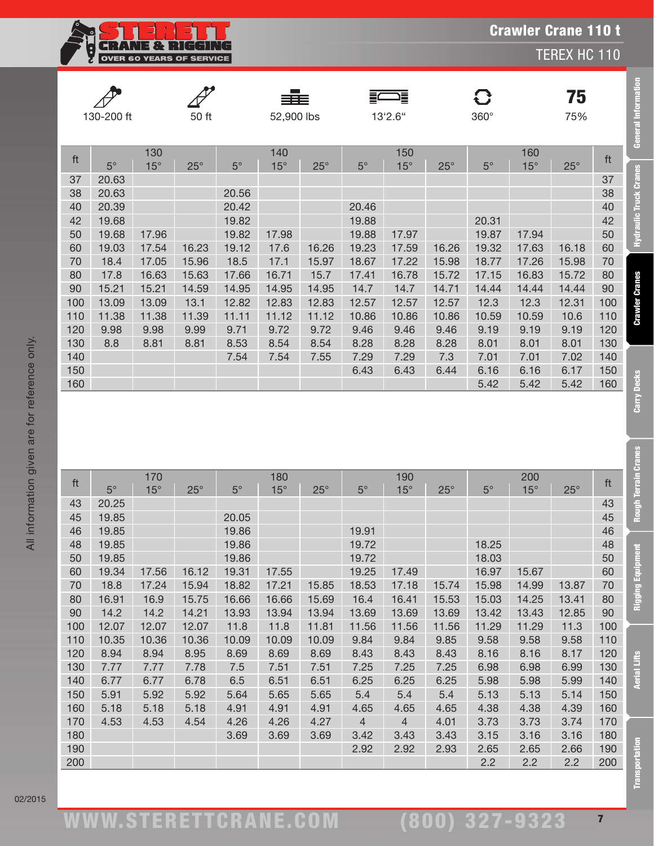**CRANE & RIGGING**<br>OVER 60 YEARS OF SERVICE ģ

TEREX HC 110

|     |            |            |            |             | ≡≡≡        |            | 這           |            |            | $\mathbf{C}$ |            | 75         |     |
|-----|------------|------------|------------|-------------|------------|------------|-------------|------------|------------|--------------|------------|------------|-----|
|     | 130-200 ft |            | 50 ft      |             | 52,900 lbs |            |             | 13'2.6"    |            | $360^\circ$  |            | 75%        |     |
|     |            |            |            |             |            |            |             |            |            |              |            |            |     |
|     |            | 130        |            |             | 140        |            |             | 150        |            |              | 160        |            | ft  |
| ft  | $5^\circ$  | $15^\circ$ | $25^\circ$ | $5^{\circ}$ | $15^\circ$ | $25^\circ$ | $5^{\circ}$ | $15^\circ$ | $25^\circ$ | $5^{\circ}$  | $15^\circ$ | $25^\circ$ |     |
| 37  | 20.63      |            |            |             |            |            |             |            |            |              |            |            | 37  |
| 38  | 20.63      |            |            | 20.56       |            |            |             |            |            |              |            |            | 38  |
| 40  | 20.39      |            |            | 20.42       |            |            | 20.46       |            |            |              |            |            | 40  |
| 42  | 19.68      |            |            | 19.82       |            |            | 19.88       |            |            | 20.31        |            |            | 42  |
| 50  | 19.68      | 17.96      |            | 19.82       | 17.98      |            | 19.88       | 17.97      |            | 19.87        | 17.94      |            | 50  |
| 60  | 19.03      | 17.54      | 16.23      | 19.12       | 17.6       | 16.26      | 19.23       | 17.59      | 16.26      | 19.32        | 17.63      | 16.18      | 60  |
| 70  | 18.4       | 17.05      | 15.96      | 18.5        | 17.1       | 15.97      | 18.67       | 17.22      | 15.98      | 18.77        | 17.26      | 15.98      | 70  |
| 80  | 17.8       | 16.63      | 15.63      | 17.66       | 16.71      | 15.7       | 17.41       | 16.78      | 15.72      | 17.15        | 16.83      | 15.72      | 80  |
| 90  | 15.21      | 15.21      | 14.59      | 14.95       | 14.95      | 14.95      | 14.7        | 14.7       | 14.71      | 14.44        | 14.44      | 14.44      | 90  |
| 100 | 13.09      | 13.09      | 13.1       | 12.82       | 12.83      | 12.83      | 12.57       | 12.57      | 12.57      | 12.3         | 12.3       | 12.31      | 100 |
| 110 | 11.38      | 11.38      | 11.39      | 11.11       | 11.12      | 11.12      | 10.86       | 10.86      | 10.86      | 10.59        | 10.59      | 10.6       | 110 |
| 120 | 9.98       | 9.98       | 9.99       | 9.71        | 9.72       | 9.72       | 9.46        | 9.46       | 9.46       | 9.19         | 9.19       | 9.19       | 120 |
| 130 | 8.8        | 8.81       | 8.81       | 8.53        | 8.54       | 8.54       | 8.28        | 8.28       | 8.28       | 8.01         | 8.01       | 8.01       | 130 |
| 140 |            |            |            | 7.54        | 7.54       | 7.55       | 7.29        | 7.29       | 7.3        | 7.01         | 7.01       | 7.02       | 140 |
| 150 |            |            |            |             |            |            | 6.43        | 6.43       | 6.44       | 6.16         | 6.16       | 6.17       | 150 |
| 160 |            |            |            |             |            |            |             |            |            | 5.42         | 5.42       | 5.42       | 160 |

|            | 130-200 ft     |                   | 50 ft      |             | 52,900 lbs        |              |                | 這<br>13'2.6"      |              | $360^\circ$  |                     | 75<br>75%    |            | <b>General Information</b> |
|------------|----------------|-------------------|------------|-------------|-------------------|--------------|----------------|-------------------|--------------|--------------|---------------------|--------------|------------|----------------------------|
|            |                |                   |            |             |                   |              |                |                   |              |              |                     |              |            |                            |
| ft         | $5^{\circ}$    | 130<br>$15^\circ$ | $25^\circ$ | $5^{\circ}$ | 140<br>$15^\circ$ | $25^\circ$   | $5^{\circ}$    | 150<br>$15^\circ$ | $25^\circ$   | $5^{\circ}$  | 160<br>$15^{\circ}$ | $25^{\circ}$ | ft         | 3                          |
| 37         | 20.63          |                   |            |             |                   |              |                |                   |              |              |                     |              | 37         |                            |
| 38         | 20.63          |                   |            | 20.56       |                   |              |                |                   |              |              |                     |              | 38         | Hydraulic Truck Cran       |
| 40         | 20.39          |                   |            | 20.42       |                   |              | 20.46          |                   |              |              |                     |              | 40         |                            |
| 42         | 19.68          |                   |            | 19.82       |                   |              | 19.88          |                   |              | 20.31        |                     |              | 42         |                            |
| 50         | 19.68          | 17.96             |            | 19.82       | 17.98             |              | 19.88          | 17.97             |              | 19.87        | 17.94               |              | 50         |                            |
| 60         | 19.03          | 17.54             | 16.23      | 19.12       | 17.6              | 16.26        | 19.23          | 17.59             | 16.26        | 19.32        | 17.63               | 16.18        | 60         |                            |
| 70         | 18.4           | 17.05             | 15.96      | 18.5        | 17.1              | 15.97        | 18.67          | 17.22             | 15.98        | 18.77        | 17.26               | 15.98        | 70         |                            |
| 80         | 17.8           | 16.63             | 15.63      | 17.66       | 16.71             | 15.7         | 17.41          | 16.78             | 15.72        | 17.15        | 16.83               | 15.72        | 80         | <b>Crawler Cranes</b>      |
| 90         | 15.21          | 15.21             | 14.59      | 14.95       | 14.95             | 14.95        | 14.7           | 14.7              | 14.71        | 14.44        | 14.44               | 14.44        | 90         |                            |
| 100        | 13.09          | 13.09             | 13.1       | 12.82       | 12.83             | 12.83        | 12.57          | 12.57             | 12.57        | 12.3         | 12.3                | 12.31        | 100        |                            |
| 110        | 11.38          | 11.38             | 11.39      | 11.11       | 11.12             | 11.12        | 10.86          | 10.86             | 10.86        | 10.59        | 10.59               | 10.6         | 110        |                            |
| 120        | 9.98           | 9.98              | 9.99       | 9.71        | 9.72              | 9.72         | 9.46           | 9.46              | 9.46         | 9.19         | 9.19                | 9.19         | 120        |                            |
| 130        | 8.8            | 8.81              | 8.81       | 8.53        | 8.54              | 8.54         | 8.28           | 8.28              | 8.28         | 8.01         | 8.01                | 8.01         | 130        |                            |
| 140<br>150 |                |                   |            | 7.54        | 7.54              | 7.55         | 7.29<br>6.43   | 7.29<br>6.43      | 7.3<br>6.44  | 7.01<br>6.16 | 7.01<br>6.16        | 7.02<br>6.17 | 140<br>150 |                            |
| 160        |                |                   |            |             |                   |              |                |                   |              | 5.42         | 5.42                | 5.42         | 160        | Carry Decks                |
|            |                |                   |            |             |                   |              |                |                   |              |              |                     |              |            | Rough Terrain Cranes       |
| ft         |                | 170               |            |             | 180               |              |                | 190               |              |              | 200                 |              | ft         |                            |
|            | $5^\circ$      | $15^\circ$        | $25^\circ$ | $5^{\circ}$ | $15^\circ$        | $25^{\circ}$ | $5^{\circ}$    | $15^\circ$        | $25^\circ$   | $5^{\circ}$  | $15^\circ$          | $25^\circ$   |            |                            |
| 43<br>45   | 20.25<br>19.85 |                   |            | 20.05       |                   |              |                |                   |              |              |                     |              | 43<br>45   |                            |
| 46         | 19.85          |                   |            | 19.86       |                   |              | 19.91          |                   |              |              |                     |              | 46         |                            |
| 48         | 19.85          |                   |            | 19.86       |                   |              | 19.72          |                   |              | 18.25        |                     |              | 48         |                            |
| 50         | 19.85          |                   |            | 19.86       |                   |              | 19.72          |                   |              | 18.03        |                     |              | 50         |                            |
| 60         | 19.34          | 17.56             | 16.12      | 19.31       | 17.55             |              | 19.25          | 17.49             |              | 16.97        | 15.67               |              | 60         |                            |
| 70         | 18.8           | 17.24             | 15.94      | 18.82       | 17.21             | 15.85        | 18.53          | 17.18             | 15.74        | 15.98        | 14.99               | 13.87        | 70         |                            |
| 80         | 16.91          | 16.9              | 15.75      | 16.66       | 16.66             | 15.69        | 16.4           | 16.41             | 15.53        | 15.03        | 14.25               | 13.41        | 80         | Rigging Equip              |
| 90         | 14.2           | 14.2              | 14.21      | 13.93       | 13.94             | 13.94        | 13.69          | 13.69             | 13.69        | 13.42        | 13.43               | 12.85        | 90         |                            |
| 100        | 12.07          | 12.07             | 12.07      | 11.8        | 11.8              | 11.81        | 11.56          | 11.56             | 11.56        | 11.29        | 11.29               | 11.3         | 100        |                            |
| 110        | 10.35          | 10.36             | 10.36      | 10.09       | 10.09             | 10.09        | 9.84           | 9.84              | 9.85         | 9.58         | 9.58                | 9.58         | 110        |                            |
| 120        | 8.94           | 8.94              | 8.95       | 8.69        | 8.69              | 8.69         | 8.43           | 8.43              | 8.43         | 8.16         | 8.16                | 8.17         | 120        |                            |
| 130        | 7.77           | 7.77              | 7.78       | 7.5         | 7.51              | 7.51         | 7.25           | 7.25              | 7.25         | 6.98         | 6.98                | 6.99         | 130        | <b>Aerial Lifts</b>        |
| 140        | 6.77           | 6.77              | 6.78       | 6.5         | 6.51              | 6.51         | 6.25           | 6.25              | 6.25         | 5.98         | 5.98                | 5.99         | 140        |                            |
| 150        | 5.91           | 5.92              | 5.92       | 5.64        | 5.65              | 5.65         | 5.4            | 5.4               | 5.4          | 5.13         | 5.13                | 5.14         | 150        |                            |
| 160        | 5.18           | 5.18              | 5.18       | 4.91        | 4.91              | 4.91         | 4.65           | 4.65              | 4.65         | 4.38         | 4.38                | 4.39         | 160        |                            |
| 170        | 4.53           | 4.53              | 4.54       | 4.26        | 4.26              | 4.27         | $\overline{4}$ | $\overline{4}$    | 4.01         | 3.73         | 3.73                | 3.74         | 170        |                            |
| 180<br>190 |                |                   |            | 3.69        | 3.69              | 3.69         | 3.42<br>2.92   | 3.43<br>2.92      | 3.43<br>2.93 | 3.15<br>2.65 | 3.16<br>2.65        | 3.16<br>2.66 | 180<br>190 |                            |
| 200        |                |                   |            |             |                   |              |                |                   |              | 2.2          | 2.2                 | 2.2          | 200        |                            |
|            |                |                   |            |             |                   |              |                |                   |              |              |                     |              |            | <b>Transportation</b>      |

02/2015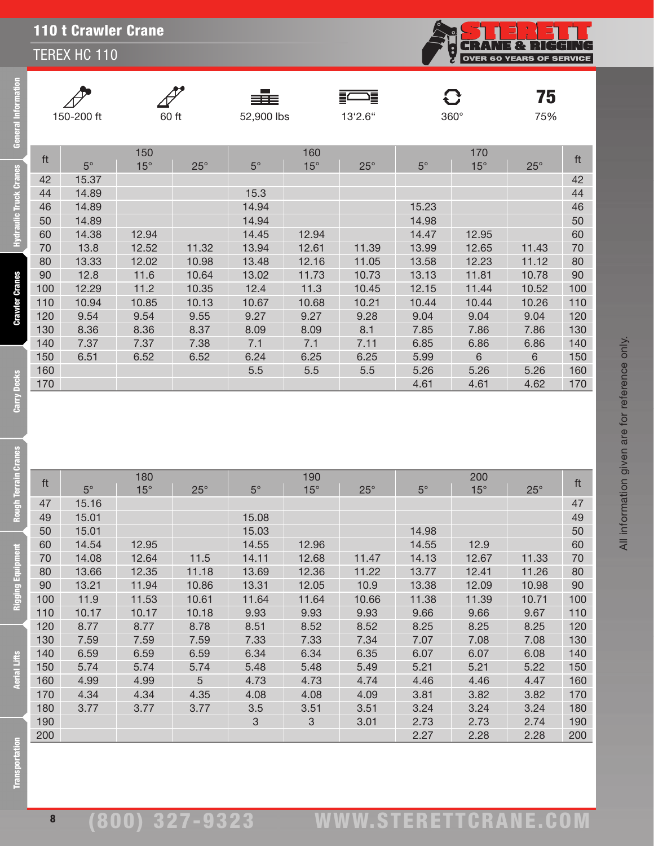TEREX HC 110



<sub>75%</sub>

All information given are for reference only.

All information given are for reference only.

eral Information

Ē

raulic Truck Cranes

**Crawler Cranes** 



≡≡

F

 $\mathbf C$ 

150-200 ft 60 ft 52,900 lbs 13'2.6'' 360° 75%

|     |             | 150        |              |           | 160        |            |             | 170        |            |     |
|-----|-------------|------------|--------------|-----------|------------|------------|-------------|------------|------------|-----|
| ft  | $5^{\circ}$ | $15^\circ$ | $25^{\circ}$ | $5^\circ$ | $15^\circ$ | $25^\circ$ | $5^{\circ}$ | $15^\circ$ | $25^\circ$ | ft  |
| 42  | 15.37       |            |              |           |            |            |             |            |            | 42  |
| 44  | 14.89       |            |              | 15.3      |            |            |             |            |            | 44  |
| 46  | 14.89       |            |              | 14.94     |            |            | 15.23       |            |            | 46  |
| 50  | 14.89       |            |              | 14.94     |            |            | 14.98       |            |            | 50  |
| 60  | 14.38       | 12.94      |              | 14.45     | 12.94      |            | 14.47       | 12.95      |            | 60  |
| 70  | 13.8        | 12.52      | 11.32        | 13.94     | 12.61      | 11.39      | 13.99       | 12.65      | 11.43      | 70  |
| 80  | 13.33       | 12.02      | 10.98        | 13.48     | 12.16      | 11.05      | 13.58       | 12.23      | 11.12      | 80  |
| 90  | 12.8        | 11.6       | 10.64        | 13.02     | 11.73      | 10.73      | 13.13       | 11.81      | 10.78      | 90  |
| 100 | 12.29       | 11.2       | 10.35        | 12.4      | 11.3       | 10.45      | 12.15       | 11.44      | 10.52      | 100 |
| 110 | 10.94       | 10.85      | 10.13        | 10.67     | 10.68      | 10.21      | 10.44       | 10.44      | 10.26      | 110 |
| 120 | 9.54        | 9.54       | 9.55         | 9.27      | 9.27       | 9.28       | 9.04        | 9.04       | 9.04       | 120 |
| 130 | 8.36        | 8.36       | 8.37         | 8.09      | 8.09       | 8.1        | 7.85        | 7.86       | 7.86       | 130 |
| 140 | 7.37        | 7.37       | 7.38         | 7.1       | 7.1        | 7.11       | 6.85        | 6.86       | 6.86       | 140 |
| 150 | 6.51        | 6.52       | 6.52         | 6.24      | 6.25       | 6.25       | 5.99        | 6          | 6          | 150 |
| 160 |             |            |              | 5.5       | 5.5        | 5.5        | 5.26        | 5.26       | 5.26       | 160 |
| 170 |             |            |              |           |            |            | 4.61        | 4.61       | 4.62       | 170 |

**Aerial Lifts** 

| ft  |             | 180        |              |             | 190        |            |           | 200        |              | ft  |
|-----|-------------|------------|--------------|-------------|------------|------------|-----------|------------|--------------|-----|
|     | $5^{\circ}$ | $15^\circ$ | $25^{\circ}$ | $5^{\circ}$ | $15^\circ$ | $25^\circ$ | $5^\circ$ | $15^\circ$ | $25^{\circ}$ |     |
| 47  | 15.16       |            |              |             |            |            |           |            |              | 47  |
| 49  | 15.01       |            |              | 15.08       |            |            |           |            |              | 49  |
| 50  | 15.01       |            |              | 15.03       |            |            | 14.98     |            |              | 50  |
| 60  | 14.54       | 12.95      |              | 14.55       | 12.96      |            | 14.55     | 12.9       |              | 60  |
| 70  | 14.08       | 12.64      | 11.5         | 14.11       | 12.68      | 11.47      | 14.13     | 12.67      | 11.33        | 70  |
| 80  | 13.66       | 12.35      | 11.18        | 13.69       | 12.36      | 11.22      | 13.77     | 12.41      | 11.26        | 80  |
| 90  | 13.21       | 11.94      | 10.86        | 13.31       | 12.05      | 10.9       | 13.38     | 12.09      | 10.98        | 90  |
| 100 | 11.9        | 11.53      | 10.61        | 11.64       | 11.64      | 10.66      | 11.38     | 11.39      | 10.71        | 100 |
| 110 | 10.17       | 10.17      | 10.18        | 9.93        | 9.93       | 9.93       | 9.66      | 9.66       | 9.67         | 110 |
| 120 | 8.77        | 8.77       | 8.78         | 8.51        | 8.52       | 8.52       | 8.25      | 8.25       | 8.25         | 120 |
| 130 | 7.59        | 7.59       | 7.59         | 7.33        | 7.33       | 7.34       | 7.07      | 7.08       | 7.08         | 130 |
| 140 | 6.59        | 6.59       | 6.59         | 6.34        | 6.34       | 6.35       | 6.07      | 6.07       | 6.08         | 140 |
| 150 | 5.74        | 5.74       | 5.74         | 5.48        | 5.48       | 5.49       | 5.21      | 5.21       | 5.22         | 150 |
| 160 | 4.99        | 4.99       | 5            | 4.73        | 4.73       | 4.74       | 4.46      | 4.46       | 4.47         | 160 |
| 170 | 4.34        | 4.34       | 4.35         | 4.08        | 4.08       | 4.09       | 3.81      | 3.82       | 3.82         | 170 |
| 180 | 3.77        | 3.77       | 3.77         | 3.5         | 3.51       | 3.51       | 3.24      | 3.24       | 3.24         | 180 |
| 190 |             |            |              | 3           | 3          | 3.01       | 2.73      | 2.73       | 2.74         | 190 |
| 200 |             |            |              |             |            |            | 2.27      | 2.28       | 2.28         | 200 |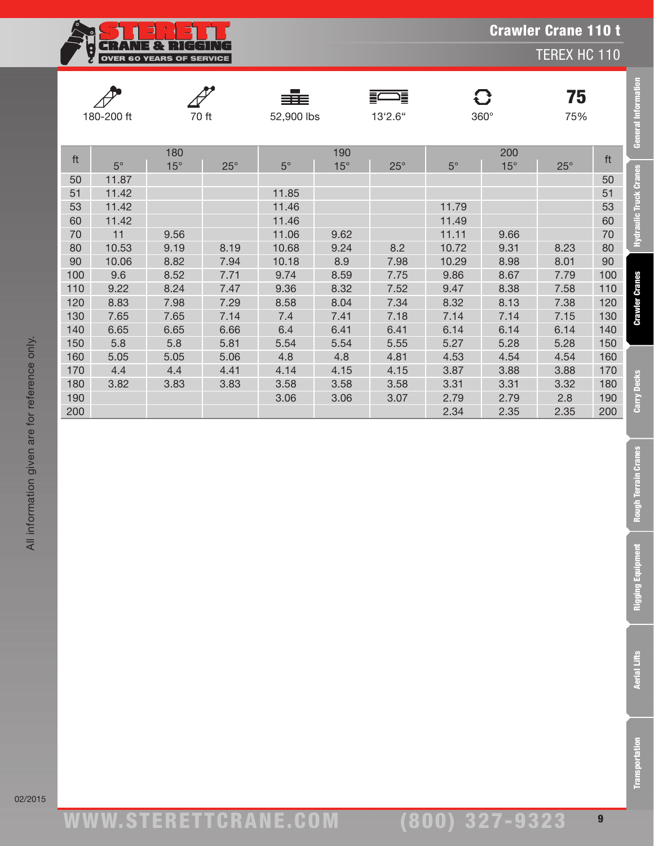**CRANE & RIGGING**<br>OVER 60 YEARS OF SERVICE ĝ

TEREX HC 110

|            |           |              |              | ≡≡≡        |            | 這<br>Ξ       |             | G          | 75         |     |                        |
|------------|-----------|--------------|--------------|------------|------------|--------------|-------------|------------|------------|-----|------------------------|
| 180-200 ft |           | 70 ft        |              | 52,900 lbs |            | 13'2.6"      |             | 360°       | 75%        |     | General Informatio     |
|            | 180       |              |              | 190        |            |              |             | 200        |            | ft  |                        |
| ft         | $5^\circ$ | $15^{\circ}$ | $25^{\circ}$ | $5^\circ$  | $15^\circ$ | $25^{\circ}$ | $5^{\circ}$ | $15^\circ$ | $25^\circ$ |     |                        |
| 50         | 11.87     |              |              |            |            |              |             |            |            | 50  | Hydraulic Truck Cranes |
| 51         | 11.42     |              |              | 11.85      |            |              |             |            |            | 51  |                        |
| 53         | 11.42     |              |              | 11.46      |            |              | 11.79       |            |            | 53  |                        |
| 60         | 11.42     |              |              | 11.46      |            |              | 11.49       |            |            | 60  |                        |
| 70         | 11        | 9.56         |              | 11.06      | 9.62       |              | 11.11       | 9.66       |            | 70  |                        |
| 80         | 10.53     | 9.19         | 8.19         | 10.68      | 9.24       | 8.2          | 10.72       | 9.31       | 8.23       | 80  |                        |
| 90         | 10.06     | 8.82         | 7.94         | 10.18      | 8.9        | 7.98         | 10.29       | 8.98       | 8.01       | 90  |                        |
| 100        | 9.6       | 8.52         | 7.71         | 9.74       | 8.59       | 7.75         | 9.86        | 8.67       | 7.79       | 100 |                        |
| 110        | 9.22      | 8.24         | 7.47         | 9.36       | 8.32       | 7.52         | 9.47        | 8.38       | 7.58       | 110 | <b>Crawler Cranes</b>  |
| 120        | 8.83      | 7.98         | 7.29         | 8.58       | 8.04       | 7.34         | 8.32        | 8.13       | 7.38       | 120 |                        |
| 130        | 7.65      | 7.65         | 7.14         | 7.4        | 7.41       | 7.18         | 7.14        | 7.14       | 7.15       | 130 |                        |
| 140        | 6.65      | 6.65         | 6.66         | 6.4        | 6.41       | 6.41         | 6.14        | 6.14       | 6.14       | 140 |                        |
| 150        | 5.8       | 5.8          | 5.81         | 5.54       | 5.54       | 5.55         | 5.27        | 5.28       | 5.28       | 150 |                        |
| 160        | 5.05      | 5.05         | 5.06         | 4.8        | 4.8        | 4.81         | 4.53        | 4.54       | 4.54       | 160 |                        |
| 170        | 4.4       | 4.4          | 4.41         | 4.14       | 4.15       | 4.15         | 3.87        | 3.88       | 3.88       | 170 |                        |
| 180        | 3.82      | 3.83         | 3.83         | 3.58       | 3.58       | 3.58         | 3.31        | 3.31       | 3.32       | 180 |                        |
| 190        |           |              |              | 3.06       | 3.06       | 3.07         | 2.79        | 2.79       | 2.8        | 190 | <b>Carry Decks</b>     |
| 200        |           |              |              |            |            |              | 2.34        | 2.35       | 2.35       | 200 |                        |